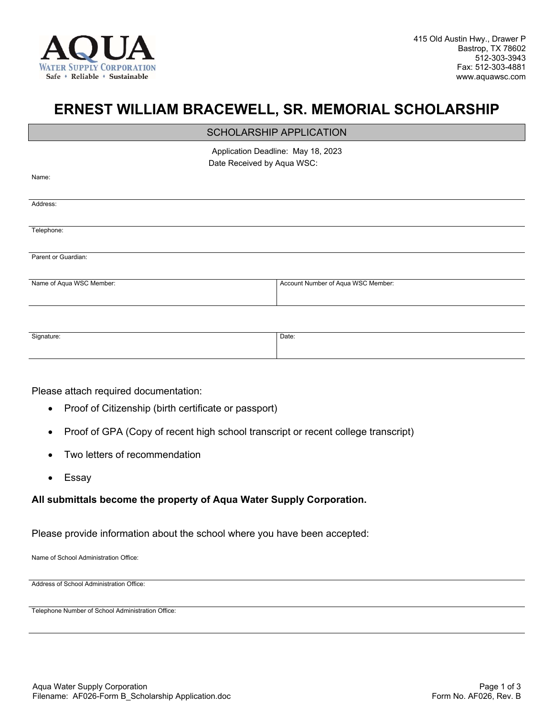

## **ERNEST WILLIAM BRACEWELL, SR. MEMORIAL SCHOLARSHIP**

## SCHOLARSHIP APPLICATION

Application Deadline: May 18, 2023 Date Received by Aqua WSC:

| нι |  |
|----|--|
|    |  |

Address:

Telephone:

Parent or Guardian:

Name of Aqua WSC Member: <br>
Account Number of Aqua WSC Member: <br>
Account Number of Aqua WSC Member:

| Signature: | Date: |
|------------|-------|
|            |       |
|            |       |
|            |       |

Please attach required documentation:

- Proof of Citizenship (birth certificate or passport)
- Proof of GPA (Copy of recent high school transcript or recent college transcript)
- Two letters of recommendation
- Essay

## **All submittals become the property of Aqua Water Supply Corporation.**

Please provide information about the school where you have been accepted:

Name of School Administration Office:

Address of School Administration Office:

Telephone Number of School Administration Office: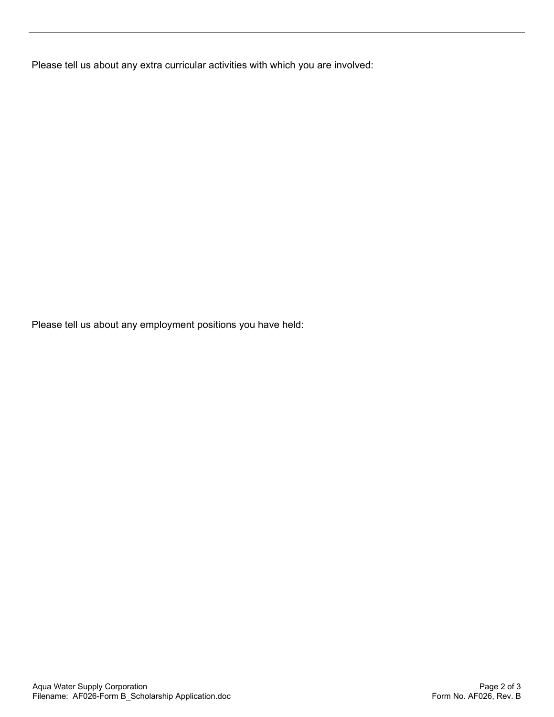Please tell us about any extra curricular activities with which you are involved:

Please tell us about any employment positions you have held: